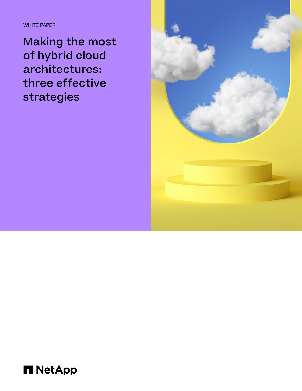WHITE PAPER

Making the most of hybrid cloud architectures: three effective strategies



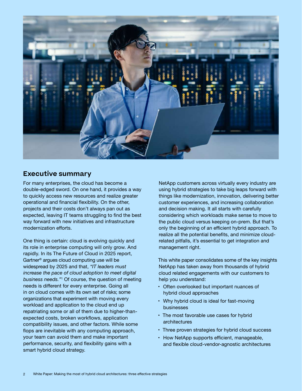

# **Executive summary**

For many enterprises, the cloud has become a double-edged sword. On one hand, it provides a way to quickly access new resources and realize greater operational and financial flexibility. On the other, projects and their costs don't always pan out as expected, leaving IT teams struggling to find the best way forward with new initiatives and infrastructure modernization efforts.

One thing is certain: cloud is evolving quickly and its role in enterprise computing will only grow. And rapidly. In its The Future of Cloud in 2025 report, Gartner® argues cloud computing use will be widespread by 2025 and that, *"IT leaders must increase the pace of cloud adoption to meet digital business needs."*<sup>1</sup> Of course, the question of meeting needs is different for every enterprise. Going all in on cloud comes with its own set of risks; some organizations that experiment with moving every workload and application to the cloud end up repatriating some or all of them due to higher-thanexpected costs, broken workflows, application compatibility issues, and other factors. While some flops are inevitable with any computing approach, your team can avoid them and make important performance, security, and flexibility gains with a smart hybrid cloud strategy.

NetApp customers across virtually every industry are using hybrid strategies to take big leaps forward with things like modernization, innovation, delivering better customer experiences, and increasing collaboration and decision making. It all starts with carefully considering which workloads make sense to move to the public cloud versus keeping on-prem. But that's only the beginning of an efficient hybrid approach. To realize all the potential benefits, and minimize cloudrelated pitfalls, it's essential to get integration and management right.

This white paper consolidates some of the key insights NetApp has taken away from thousands of hybrid cloud related engagements with our customers to help you understand:

- Often overlooked but important nuances of hybrid cloud approaches
- Why hybrid cloud is ideal for fast-moving businesses
- The most favorable use cases for hybrid architectures
- Three proven strategies for hybrid cloud success
- How NetApp supports efficient, manageable, and flexible cloud-vendor-agnostic architectures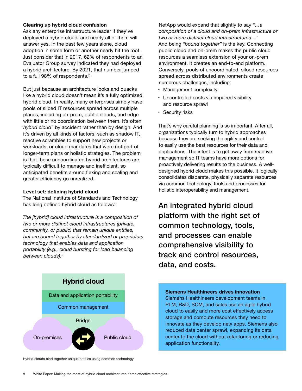### **Clearing up hybrid cloud confusion**

Ask any enterprise infrastructure leader if they've deployed a hybrid cloud, and nearly all of them will answer yes. In the past few years alone, cloud adoption in some form or another nearly hit the roof. Just consider that in 2017, 62% of respondents to an Evaluator Group survey indicated they had deployed a hybrid architecture. By 2021, that number jumped to a full 98% of respondents.<sup>2</sup>

But just because an architecture looks and quacks like a hybrid cloud doesn't mean it's a fully optimized hybrid cloud. In reality, many enterprises simply have pools of siloed IT resources spread across multiple places, including on-prem, public clouds, and edge with little or no coordination between them. It's often *"hybrid cloud"* by accident rather than by design. And it's driven by all kinds of factors, such as shadow IT, reactive scrambles to support new projects or workloads, or cloud mandates that were not part of longer-term plans or holistic strategies. The problem is that these uncoordinated hybrid architectures are typically difficult to manage and inefficient, so anticipated benefits around flexing and scaling and greater efficiency go unrealized.

### **Level set: defining hybrid cloud**

The National Institute of Standards and Technology has long defined hybrid cloud as follows:

*The [hybrid] cloud infrastructure is a composition of two or more distinct cloud infrastructures (private, community, or public) that remain unique entities, but are bound together by standardized or proprietary technology that enables data and application portability (e.g., cloud bursting for load balancing between clouds).3*

NetApp would expand that slightly to say *"…a composition of a cloud and on-prem infrastructure or two or more distinct cloud infrastructures…"* And being *"bound together"* is the key. Connecting public cloud and on-prem makes the public cloud resources a seamless extension of your on-prem environment. It creates an end-to-end platform. Conversely, pools of uncoordinated, siloed resources spread across distributed environments create numerous challenges, including:

- Management complexity
- Uncontrolled costs via impaired visibility and resource sprawl
- Security risks

That's why careful planning is so important. After all, organizations typically turn to hybrid approaches because they are seeking the agility and control to easily use the best resources for their data and applications. The intent is to get away from reactive management so IT teams have more options for proactively delivering results to the business. A welldesigned hybrid cloud makes this possible. It logically consolidates disparate, physically separate resources via common technology, tools and processes for holistic interoperability and management.

An integrated hybrid cloud platform with the right set of common technology, tools, and processes can enable comprehensive visibility to track and control resources, data, and costs.



Hybrid clouds bind together unique entities using common technology

**Siemens Healthineers drives innovation**  Siemens Healthineers development teams in PLM, R&D, SCM, and sales use an agile hybrid cloud to easily and more cost effectively access storage and compute resources they need to innovate as they develop new apps. Siemens also reduced data center sprawl, expanding its data [center to the cloud without refactoring or reducing](https://www.netapp.com/customers/siemens-healthineers-cvo-case-study/)  application functionality.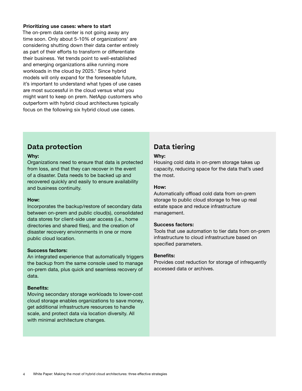#### **Prioritizing use cases: where to start**

The on-prem data center is not going away any time soon. Only about 5-10% of organizations<sup>1</sup> are considering shutting down their data center entirely as part of their efforts to transform or differentiate their business. Yet trends point to well-established and emerging organizations alike running more workloads in the cloud by 2025.<sup>1</sup> Since hybrid models will only expand for the foreseeable future, it's important to understand what types of use cases are most successful in the cloud versus what you might want to keep on prem. NetApp customers who outperform with hybrid cloud architectures typically focus on the following six hybrid cloud use cases.

# **Data protection**

#### **Why:**

Organizations need to ensure that data is protected from loss, and that they can recover in the event of a disaster. Data needs to be backed up and recovered quickly and easily to ensure availability and business continuity.

#### **How:**

Incorporates the backup/restore of secondary data between on-prem and public cloud(s), consolidated data stores for client-side user access (i.e., home directories and shared files), and the creation of disaster recovery environments in one or more public cloud location.

#### **Success factors:**

An integrated experience that automatically triggers the backup from the same console used to manage on-prem data, plus quick and seamless recovery of data.

#### **Benefits:**

Moving secondary storage workloads to lower-cost cloud storage enables organizations to save money, get additional infrastructure resources to handle scale, and protect data via location diversity. All with minimal architecture changes.

# **Data tiering**

#### **Why:**

Housing cold data in on-prem storage takes up capacity, reducing space for the data that's used the most.

#### **How:**

Automatically offload cold data from on-prem storage to public cloud storage to free up real estate space and reduce infrastructure management.

#### **Success factors:**

Tools that use automation to tier data from on-prem infrastructure to cloud infrastructure based on specified parameters.

#### **Benefits:**

Provides cost reduction for storage of infrequently accessed data or archives.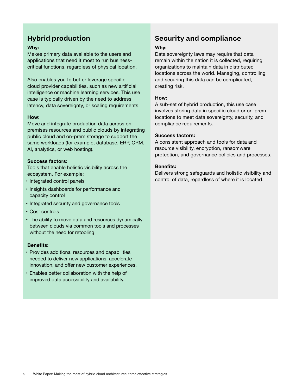# **Hybrid production**

### **Why:**

Makes primary data available to the users and applications that need it most to run businesscritical functions, regardless of physical location.

Also enables you to better leverage specific cloud provider capabilities, such as new artificial intelligence or machine learning services. This use case is typically driven by the need to address latency, data sovereignty, or scaling requirements.

### **How:**

Move and integrate production data across onpremises resources and public clouds by integrating public cloud and on-prem storage to support the same workloads (for example, database, ERP, CRM, AI, analytics, or web hosting).

# **Success factors:**

Tools that enable holistic visibility across the ecosystem. For example:

- Integrated control panels
- Insights dashboards for performance and capacity control
- Integrated security and governance tools
- Cost controls
- The ability to move data and resources dynamically between clouds via common tools and processes without the need for retooling

#### **Benefits:**

- Provides additional resources and capabilities needed to deliver new applications, accelerate innovation, and offer new customer experiences.
- Enables better collaboration with the help of improved data accessibility and availability.

# **Security and compliance**

### **Why:**

Data sovereignty laws may require that data remain within the nation it is collected, requiring organizations to maintain data in distributed locations across the world. Managing, controlling and securing this data can be complicated, creating risk.

### **How:**

A sub-set of hybrid production, this use case involves storing data in specific cloud or on-prem locations to meet data sovereignty, security, and compliance requirements.

### **Success factors:**

A consistent approach and tools for data and resource visibility, encryption, ransomware protection, and governance policies and processes.

### **Benefits:**

Delivers strong safeguards and holistic visibility and control of data, regardless of where it is located.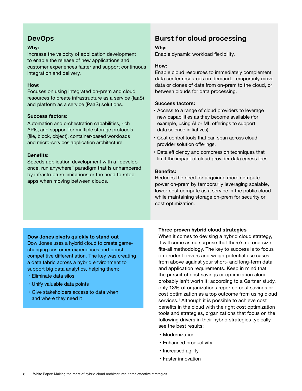# **DevOps**

# **Why:**

Increase the velocity of application development to enable the release of new applications and customer experiences faster and support continuous integration and delivery.

### **How:**

Focuses on using integrated on-prem and cloud resources to create infrastructure as a service (IaaS) and platform as a service (PaaS) solutions.

### **Success factors:**

Automation and orchestration capabilities, rich APIs, and support for multiple storage protocols (file, block, object), container-based workloads and micro-services application architecture.

# **Benefits:**

Speeds application development with a "develop once, run anywhere" paradigm that is unhampered by infrastructure limitations or the need to retool apps when moving between clouds.

# **Burst for cloud processing**

# **Why:**

Enable dynamic workload flexibility.

### **How:**

Enable cloud resources to immediately complement data center resources on demand. Temporarily move data or clones of data from on-prem to the cloud, or between clouds for data processing.

### **Success factors:**

- Access to a range of cloud providers to leverage new capabilities as they become available (for example, using AI or ML offerings to support data science initiatives).
- Cost control tools that can span across cloud provider solution offerings.
- Data efficiency and compression techniques that limit the impact of cloud provider data egress fees.

### **Benefits:**

Reduces the need for acquiring more compute power on-prem by temporarily leveraging scalable, lower-cost compute as a service in the public cloud while maintaining storage on-prem for security or cost optimization.

# **Dow Jones pivots quickly to stand out**

Dow Jones uses a hybrid cloud to create gamechanging customer experiences and boost [competitive differentiation. The key was creating](https://www.netapp.com/customers/dow-jones-data-fabric-case-study/) a data fabric across a hybrid environment to support big data analytics, helping them:

- Eliminate data silos
- Unify valuable data points
- Give stakeholders access to data when and where they need it

# **Three proven hybrid cloud strategies**

When it comes to devising a hybrid cloud strategy, it will come as no surprise that there's no one-sizefits-all methodology. The key to success is to focus on prudent drivers and weigh potential use cases from above against your short- and long-term data and application requirements. Keep in mind that the pursuit of cost savings or optimization alone probably isn't worth it; according to a Gartner study, only 13% of organizations reported cost savings or cost optimization as a top outcome from using cloud services.<sup>1</sup> Although it is possible to achieve cost benefits in the cloud with the right cost optimization tools and strategies, organizations that focus on the following drivers in their hybrid strategies typically see the best results:

- Modernization
- Enhanced productivity
- Increased agility
- Faster innovation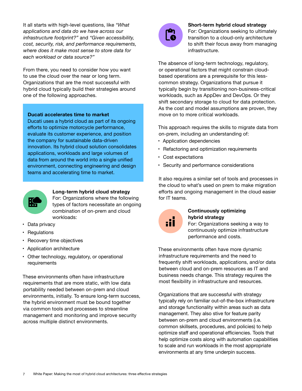It all starts with high-level questions, like *"What applications and data do we have across our infrastructure footprint?"* and *"Given accessibility, cost, security, risk, and performance requirements, where does it make most sense to store data for each workload or data source?"*

From there, you need to consider how you want to use the cloud over the near or long term. Organizations that are the most successful with hybrid cloud typically build their strategies around one of the following approaches.

#### **Ducati accelerates time to market**

Ducati uses a hybrid cloud as part of its ongoing efforts to optimize motorcycle performance, evaluate its customer experience, and position the company for sustainable data-driven [innovation. Its hybrid cloud solution consolidates](https://www.netapp.com/customers/ducati-data-fabric-case-study/)  applications, workloads and large volumes of data from around the world into a single unified environment, connecting engineering and design teams and accelerating time to market.



#### **Long-term hybrid cloud strategy**

For: Organizations where the following types of factors necessitate an ongoing combination of on-prem and cloud workloads:

- Data privacy
- Regulations
- Recovery time objectives
- Application architecture
- Other technology, regulatory, or operational requirements

These environments often have infrastructure requirements that are more static, with low data portability needed between on-prem and cloud environments, initially. To ensure long-term success, the hybrid environment must be bound together via common tools and processes to streamline management and monitoring and improve security across multiple distinct environments.



#### **Short-term hybrid cloud strategy**

For: Organizations seeking to ultimately transition to a cloud-only architecture to shift their focus away from managing infrastructure.

The absence of long-term technology, regulatory, or operational factors that might constrain cloudbased operations are a prerequisite for this lesscommon strategy. Organizations that pursue it typically begin by transitioning non-business-critical workloads, such as AppDev and DevOps. Or they shift secondary storage to cloud for data protection. As the cost and model assumptions are proven, they move on to more critical workloads.

This approach requires the skills to migrate data from on-prem, including an understanding of:

- Application dependencies
- Refactoring and optimization requirements
- Cost expectations
- Security and performance considerations

It also requires a similar set of tools and processes in the cloud to what's used on prem to make migration efforts and ongoing management in the cloud easier for IT teams.



## **Continuously optimizing hybrid strategy**

For: Organizations seeking a way to continuously optimize infrastructure performance and costs.

These environments often have more dynamic infrastructure requirements and the need to frequently shift workloads, applications, and/or data between cloud and on-prem resources as IT and business needs change. This strategy requires the most flexibility in infrastructure and resources.

Organizations that are successful with strategy typically rely on familiar out-of-the-box infrastructure and storage functionality within areas such as data management. They also stive for feature parity between on-prem and cloud environments (i.e. common skillsets, procedures, and policies) to help optimize staff and operational efficiencies. Tools that help optimize costs along with automation capabilities to scale and run workloads in the most appropriate environments at any time underpin success.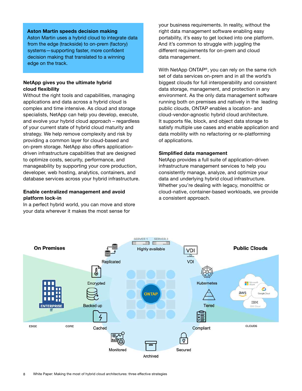#### **Aston Martin speeds decision making**

[Aston Martin uses a hybrid cloud to integrate data](https://www.netapp.com/partnerships/aston-martin-formula-one/)  from the edge (trackside) to on-prem (factory) systems—supporting faster, more confident decision making that translated to a winning edge on the track.

#### **NetApp gives you the ultimate hybrid cloud flexibility**

Without the right tools and capabilities, managing applications and data across a hybrid cloud is complex and time intensive. As cloud and storage specialists, NetApp can help you develop, execute, and evolve your hybrid cloud approach – regardless of your current state of hybrid cloud maturity and strategy. We help remove complexity and risk by providing a common layer for cloud-based and on-prem storage. NetApp also offers applicationdriven infrastructure capabilities that are designed to optimize costs, security, performance, and manageability by supporting your core production, developer, web hosting, analytics, containers, and database services across your hybrid infrastructure.

# **Enable centralized management and avoid platform lock-in**

In a perfect hybrid world, you can move and store your data wherever it makes the most sense for

your business requirements. In reality, without the right data management software enabling easy portability, it's easy to get locked into one platform. And it's common to struggle with juggling the different requirements for on-prem and cloud data management.

With NetApp ONTAP<sup>®</sup>, you can rely on the same rich set of data services on-prem and in all the world's biggest clouds for full interoperability and consistent data storage, management, and protection in any environment. As the only data management software running both on premises and natively in the leading public clouds, ONTAP enables a location- and cloud-vendor-agnostic hybrid cloud architecture. It supports file, block, and object data storage to satisfy multiple use cases and enable application and data mobility with no refactoring or re-platforming of applications.

### **Simplified data management**

NetApp provides a full suite of application-driven infrastructure management services to help you consistently manage, analyze, and optimize your data and underlying hybrid cloud infrastructure. Whether you're dealing with legacy, monolithic or cloud-native, container-based workloads, we provide a consistent approach.

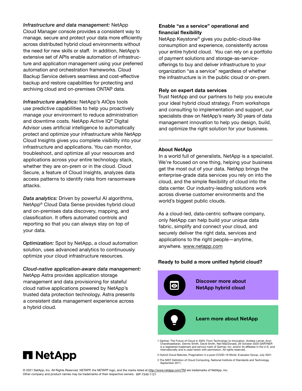#### *Infrastructure and data management:* NetApp

Cloud Manager console provides a consistent way to manage, secure and protect your data more efficiently across distributed hybrid cloud environments without the need for new skills or staff. In addition, NetApp's extensive set of APIs enable automation of infrastructure and application management using your preferred automation and orchestration frameworks. Cloud Backup Service delivers seamless and cost-effective backup and restore capabilities for protecting and archiving cloud and on-premises ONTAP data.

*Infrastructure analytics:* NetApp's AIOps tools use predictive capabilities to help you proactively manage your environment to reduce administration and downtime costs. NetApp Active IQ® Digital Advisor uses artificial intelligence to automatically protect and optimize your infrastructure while NetApp Cloud Insights gives you complete visibility into your infrastructure and applications. You can monitor, troubleshoot, and optimize all your resources and applications across your entire technology stack, whether they are on-prem or in the cloud. Cloud Secure, a feature of Cloud Insights, analyzes data access patterns to identify risks from ransomware attacks.

*Data analytics:* Driven by powerful AI algorithms, NetApp® Cloud Data Sense provides hybrid cloud and on-premises data discovery, mapping, and classification. It offers automated controls and reporting so that you can always stay on top of your data.

*Optimization:* Spot by NetApp, a cloud automation solution, uses advanced analytics to continuously optimize your cloud infrastructure resources.

*Cloud-native application-aware data management:* NetApp Astra provides application storage management and data provisioning for stateful cloud native applications powered by NetApp's trusted data protection technology. Astra presents a consistent data management experience across a hybrid cloud.

# **Enable "as a service" operational and financial flexibility**

NetApp Keystone® gives you public-cloud-like consumption and experience, consistently across your entire hybrid cloud. You can rely on a portfolio of payment solutions and storage-as-serviceofferings to buy and deliver infrastructure to your organization "as a service" regardless of whether the infrastructure is in the public cloud or on-prem.

#### **Rely on expert data services**

Trust NetApp and our partners to help you execute your ideal hybrid cloud strategy. From workshops and consulting to implementation and support, our specialists draw on NetApp's nearly 30 years of data management innovation to help you design, build, and optimize the right solution for your business.

#### **About NetApp**

In a world full of generalists, NetApp is a specialist. We're focused on one thing, helping your business get the most out of your data. NetApp brings the enterprise-grade data services you rely on into the cloud, and the simple flexibility of cloud into the data center. Our industry-leading solutions work across diverse customer environments and the world's biggest public clouds.

As a cloud-led, data-centric software company, only NetApp can help build your unique data fabric, simplify and connect your cloud, and securely deliver the right data, services and applications to the right people—anytime, anywhere. [www.netapp.com](http://www.netapp.com)

#### **Ready to build a more unified hybrid cloud?**



- 1 Gartner, The Future of Cloud in 2025: From Technology to Innovation, Andrew Lerner, Arun<br>Chandrasekaran, Dennis Smith, David Smith, Neil MacDonald, 29 October 2020 GARTNER<br>is a registered trademark and service mark of Ga internationally and is used herein with permission. All rights reserved.
- 2 Hybrid Cloud Matures, Pragmatism in a post-COVID-19 World, Evaluator Group, July 2021.

3 The NIST Definition of Cloud Computing, National Institute of Standards and Technology, September 2011



© 2021 NetApp, Inc. All Rights Reserved. NETAPP, the NETAPP logo, and the marks listed at<http://www.netapp.com/TM>are trademarks of NetApp, Inc. Other company and product names may be trademarks of their respective owners. WP-7349-1121